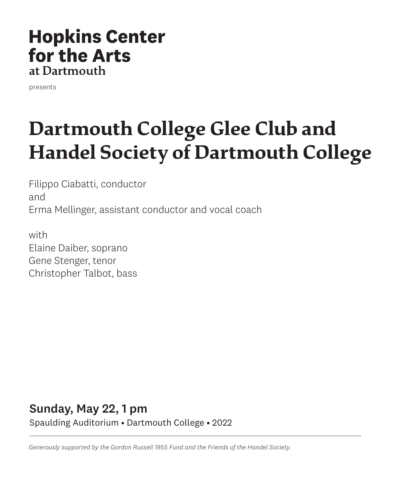# **Hopkins Center** for the Arts at Dartmouth

presents

# **Dartmouth College Glee Club and Handel Society of Dartmouth College**

Filippo Ciabatti, conductor and Erma Mellinger, assistant conductor and vocal coach

with Elaine Daiber, soprano Gene Stenger, tenor Christopher Talbot, bass

# Sunday, May 22, 1 pm Spaulding Auditorium • Dartmouth College • 2022

*Generously supported by the Gordon Russell 1955 Fund and the Friends of the Handel Society.*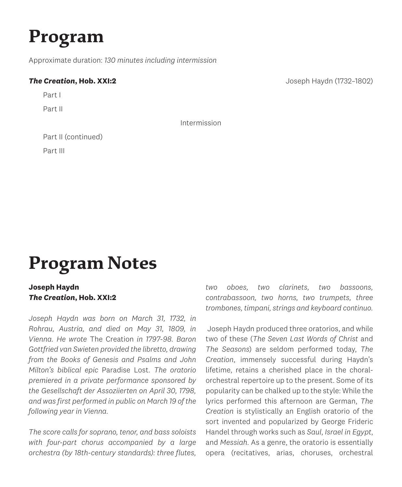# **Program**

Approximate duration: *130 minutes including intermission*

#### **The Creation, Hob. XXI:2 Joseph Haydn (1732–1802)**

Part I

Part II

Intermission

Part II (continued)

Part III

# **Program Notes**

### **Joseph Haydn** *The Creation***, Hob. XXI:2**

*Joseph Haydn was born on March 31, 1732, in Rohrau, Austria, and died on May 31, 1809, in Vienna. He wrote* The Creation *in 1797-98. Baron Gottfried van Swieten provided the libretto, drawing from the Books of Genesis and Psalms and John Milton's biblical epic* Paradise Lost*. The oratorio premiered in a private performance sponsored by the Gesellschaft der Assoziierten on April 30, 1798, and was first performed in public on March 19 of the following year in Vienna.*

*The score calls for soprano, tenor, and bass soloists with four-part chorus accompanied by a large orchestra (by 18th-century standards): three flutes,*  *two oboes, two clarinets, two bassoons, contrabassoon, two horns, two trumpets, three trombones, timpani, strings and keyboard continuo.*

 Joseph Haydn produced three oratorios, and while two of these (*The Seven Last Words of Christ* and *The Seasons*) are seldom performed today, *The Creation*, immensely successful during Haydn's lifetime, retains a cherished place in the choralorchestral repertoire up to the present. Some of its popularity can be chalked up to the style: While the lyrics performed this afternoon are German, *The Creation* is stylistically an English oratorio of the sort invented and popularized by George Frideric Handel through works such as *Saul*, *Israel in Egypt*, and *Messiah*. As a genre, the oratorio is essentially opera (recitatives, arias, choruses, orchestral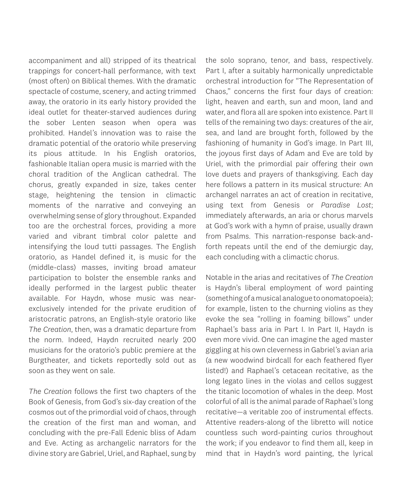accompaniment and all) stripped of its theatrical trappings for concert-hall performance, with text (most often) on Biblical themes. With the dramatic spectacle of costume, scenery, and acting trimmed away, the oratorio in its early history provided the ideal outlet for theater-starved audiences during the sober Lenten season when opera was prohibited. Handel's innovation was to raise the dramatic potential of the oratorio while preserving its pious attitude. In his English oratorios, fashionable Italian opera music is married with the choral tradition of the Anglican cathedral. The chorus, greatly expanded in size, takes center stage, heightening the tension in climactic moments of the narrative and conveying an overwhelming sense of glory throughout. Expanded too are the orchestral forces, providing a more varied and vibrant timbral color palette and intensifying the loud tutti passages. The English oratorio, as Handel defined it, is music for the (middle-class) masses, inviting broad amateur participation to bolster the ensemble ranks and ideally performed in the largest public theater available. For Haydn, whose music was nearexclusively intended for the private erudition of aristocratic patrons, an English-style oratorio like *The Creation*, then, was a dramatic departure from the norm. Indeed, Haydn recruited nearly 200 musicians for the oratorio's public premiere at the Burgtheater, and tickets reportedly sold out as soon as they went on sale.

*The Creation* follows the first two chapters of the Book of Genesis, from God's six-day creation of the cosmos out of the primordial void of chaos, through the creation of the first man and woman, and concluding with the pre-Fall Edenic bliss of Adam and Eve. Acting as archangelic narrators for the divine story are Gabriel, Uriel, and Raphael, sung by the solo soprano, tenor, and bass, respectively. Part I, after a suitably harmonically unpredictable orchestral introduction for "The Representation of Chaos," concerns the first four days of creation: light, heaven and earth, sun and moon, land and water, and flora all are spoken into existence. Part II tells of the remaining two days: creatures of the air, sea, and land are brought forth, followed by the fashioning of humanity in God's image. In Part III, the joyous first days of Adam and Eve are told by Uriel, with the primordial pair offering their own love duets and prayers of thanksgiving. Each day here follows a pattern in its musical structure: An archangel narrates an act of creation in recitative, using text from Genesis or *Paradise Lost*; immediately afterwards, an aria or chorus marvels at God's work with a hymn of praise, usually drawn from Psalms. This narration-response back-andforth repeats until the end of the demiurgic day, each concluding with a climactic chorus.

Notable in the arias and recitatives of *The Creation* is Haydn's liberal employment of word painting (something of a musical analogue to onomatopoeia); for example, listen to the churning violins as they evoke the sea "rolling in foaming billows" under Raphael's bass aria in Part I. In Part II, Haydn is even more vivid. One can imagine the aged master giggling at his own cleverness in Gabriel's avian aria (a new woodwind birdcall for each feathered flyer listed!) and Raphael's cetacean recitative, as the long legato lines in the violas and cellos suggest the titanic locomotion of whales in the deep. Most colorful of all is the animal parade of Raphael's long recitative—a veritable zoo of instrumental effects. Attentive readers-along of the libretto will notice countless such word-painting curios throughout the work; if you endeavor to find them all, keep in mind that in Haydn's word painting, the lyrical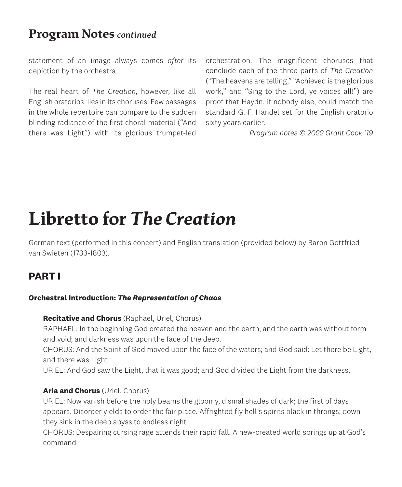# **Program Notes** *continued*

statement of an image always comes *after* its depiction by the orchestra.

The real heart of *The Creation*, however, like all English oratorios, lies in its choruses. Few passages in the whole repertoire can compare to the sudden blinding radiance of the first choral material ("And there was Light") with its glorious trumpet-led

orchestration. The magnificent choruses that conclude each of the three parts of *The Creation* ("The heavens are telling," "Achieved is the glorious work," and "Sing to the Lord, ye voices all!") are proof that Haydn, if nobody else, could match the standard G. F. Handel set for the English oratorio sixty years earlier.

*Program notes © 2022 Grant Cook '19*

# **Libretto for** *The Creation*

German text (performed in this concert) and English translation (provided below) by Baron Gottfried van Swieten (1733-1803).

## **PART I**

#### **Orchestral Introduction:** *The Representation of Chaos*

#### **Recitative and Chorus** (Raphael, Uriel, Chorus)

RAPHAEL: In the beginning God created the heaven and the earth; and the earth was without form and void; and darkness was upon the face of the deep.

CHORUS: And the Spirit of God moved upon the face of the waters; and God said: Let there be Light, and there was Light.

URIEL: And God saw the Light, that it was good; and God divided the Light from the darkness.

#### **Aria and Chorus** (Uriel, Chorus)

URIEL: Now vanish before the holy beams the gloomy, dismal shades of dark; the first of days appears. Disorder yields to order the fair place. Affrighted fly hell's spirits black in throngs; down they sink in the deep abyss to endless night.

CHORUS: Despairing cursing rage attends their rapid fall. A new-created world springs up at God's command.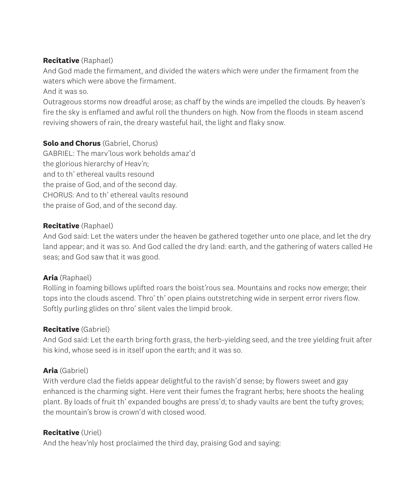#### **Recitative** (Raphael)

And God made the firmament, and divided the waters which were under the firmament from the waters which were above the firmament.

And it was so.

Outrageous storms now dreadful arose; as chaff by the winds are impelled the clouds. By heaven's fire the sky is enflamed and awful roll the thunders on high. Now from the floods in steam ascend reviving showers of rain, the dreary wasteful hail, the light and flaky snow.

#### **Solo and Chorus** (Gabriel, Chorus)

GABRIEL: The marv'lous work beholds amaz'd the glorious hierarchy of Heav'n; and to th' ethereal vaults resound the praise of God, and of the second day. CHORUS: And to th' ethereal vaults resound the praise of God, and of the second day.

#### **Recitative** (Raphael)

And God said: Let the waters under the heaven be gathered together unto one place, and let the dry land appear; and it was so. And God called the dry land: earth, and the gathering of waters called He seas; and God saw that it was good.

### **Aria** (Raphael)

Rolling in foaming billows uplifted roars the boist'rous sea. Mountains and rocks now emerge; their tops into the clouds ascend. Thro' th' open plains outstretching wide in serpent error rivers flow. Softly purling glides on thro' silent vales the limpid brook.

### **Recitative** (Gabriel)

And God said: Let the earth bring forth grass, the herb-yielding seed, and the tree yielding fruit after his kind, whose seed is in itself upon the earth; and it was so.

### **Aria** (Gabriel)

With verdure clad the fields appear delightful to the ravish'd sense; by flowers sweet and gay enhanced is the charming sight. Here vent their fumes the fragrant herbs; here shoots the healing plant. By loads of fruit th' expanded boughs are press'd; to shady vaults are bent the tufty groves; the mountain's brow is crown'd with closed wood.

### **Recitative** (Uriel)

And the heav'nly host proclaimed the third day, praising God and saying: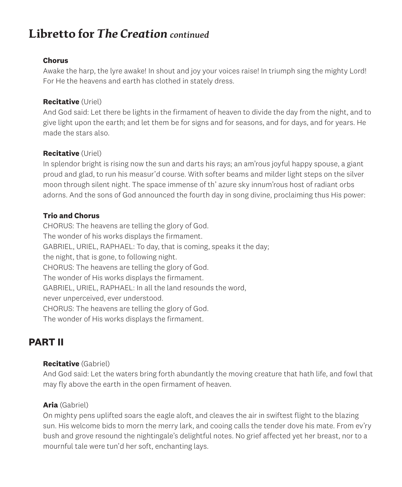# **Libretto for** *The Creation continued*

#### **Chorus**

Awake the harp, the lyre awake! In shout and joy your voices raise! In triumph sing the mighty Lord! For He the heavens and earth has clothed in stately dress.

#### **Recitative** (Uriel)

And God said: Let there be lights in the firmament of heaven to divide the day from the night, and to give light upon the earth; and let them be for signs and for seasons, and for days, and for years. He made the stars also.

#### **Recitative** (Uriel)

In splendor bright is rising now the sun and darts his rays; an am'rous joyful happy spouse, a giant proud and glad, to run his measur'd course. With softer beams and milder light steps on the silver moon through silent night. The space immense of th' azure sky innum'rous host of radiant orbs adorns. And the sons of God announced the fourth day in song divine, proclaiming thus His power:

#### **Trio and Chorus**

CHORUS: The heavens are telling the glory of God. The wonder of his works displays the firmament. GABRIEL, URIEL, RAPHAEL: To day, that is coming, speaks it the day; the night, that is gone, to following night. CHORUS: The heavens are telling the glory of God. The wonder of His works displays the firmament. GABRIEL, URIEL, RAPHAEL: In all the land resounds the word, never unperceived, ever understood. CHORUS: The heavens are telling the glory of God. The wonder of His works displays the firmament.

## **PART II**

#### **Recitative** (Gabriel)

And God said: Let the waters bring forth abundantly the moving creature that hath life, and fowl that may fly above the earth in the open firmament of heaven.

#### **Aria** (Gabriel)

On mighty pens uplifted soars the eagle aloft, and cleaves the air in swiftest flight to the blazing sun. His welcome bids to morn the merry lark, and cooing calls the tender dove his mate. From ev'ry bush and grove resound the nightingale's delightful notes. No grief affected yet her breast, nor to a mournful tale were tun'd her soft, enchanting lays.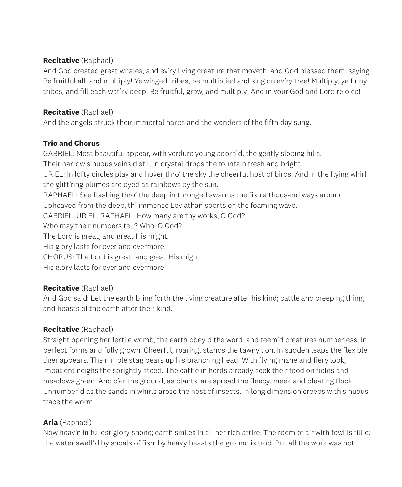#### **Recitative** (Raphael)

And God created great whales, and ev'ry living creature that moveth, and God blessed them, saying: Be fruitful all, and multiply! Ye winged tribes, be multiplied and sing on ev'ry tree! Multiply, ye finny tribes, and fill each wat'ry deep! Be fruitful, grow, and multiply! And in your God and Lord rejoice!

### **Recitative** (Raphael)

And the angels struck their immortal harps and the wonders of the fifth day sung.

### **Trio and Chorus**

GABRIEL: Most beautiful appear, with verdure young adorn'd, the gently sloping hills. Their narrow sinuous veins distill in crystal drops the fountain fresh and bright. URIEL: In lofty circles play and hover thro' the sky the cheerful host of birds. And in the flying whirl the glitt'ring plumes are dyed as rainbows by the sun. RAPHAEL: See flashing thro' the deep in thronged swarms the fish a thousand ways around. Upheaved from the deep, th' immense Leviathan sports on the foaming wave. GABRIEL, URIEL, RAPHAEL: How many are thy works, O God? Who may their numbers tell? Who, O God? The Lord is great, and great His might. His glory lasts for ever and evermore. CHORUS: The Lord is great, and great His might. His glory lasts for ever and evermore.

### **Recitative** (Raphael)

And God said: Let the earth bring forth the living creature after his kind; cattle and creeping thing, and beasts of the earth after their kind.

### **Recitative** (Raphael)

Straight opening her fertile womb, the earth obey'd the word, and teem'd creatures numberless, in perfect forms and fully grown. Cheerful, roaring, stands the tawny lion. In sudden leaps the flexible tiger appears. The nimble stag bears up his branching head. With flying mane and fiery look, impatient neighs the sprightly steed. The cattle in herds already seek their food on fields and meadows green. And o'er the ground, as plants, are spread the fleecy, meek and bleating flock. Unnumber'd as the sands in whirls arose the host of insects. In long dimension creeps with sinuous trace the worm.

## **Aria** (Raphael)

Now heav'n in fullest glory shone; earth smiles in all her rich attire. The room of air with fowl is fill'd; the water swell'd by shoals of fish; by heavy beasts the ground is trod. But all the work was not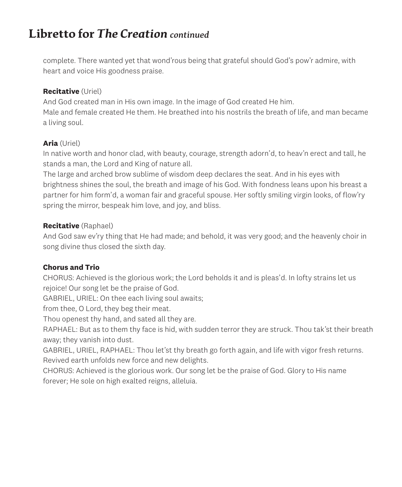# **Libretto for** *The Creation continued*

complete. There wanted yet that wond'rous being that grateful should God's pow'r admire, with heart and voice His goodness praise.

#### **Recitative** (Uriel)

And God created man in His own image. In the image of God created He him. Male and female created He them. He breathed into his nostrils the breath of life, and man became a living soul.

### **Aria** (Uriel)

In native worth and honor clad, with beauty, courage, strength adorn'd, to heav'n erect and tall, he stands a man, the Lord and King of nature all.

The large and arched brow sublime of wisdom deep declares the seat. And in his eyes with brightness shines the soul, the breath and image of his God. With fondness leans upon his breast a partner for him form'd, a woman fair and graceful spouse. Her softly smiling virgin looks, of flow'ry spring the mirror, bespeak him love, and joy, and bliss.

#### **Recitative** (Raphael)

And God saw ev'ry thing that He had made; and behold, it was very good; and the heavenly choir in song divine thus closed the sixth day.

### **Chorus and Trio**

CHORUS: Achieved is the glorious work; the Lord beholds it and is pleas'd. In lofty strains let us rejoice! Our song let be the praise of God.

GABRIEL, URIEL: On thee each living soul awaits;

from thee, O Lord, they beg their meat.

Thou openest thy hand, and sated all they are.

RAPHAEL: But as to them thy face is hid, with sudden terror they are struck. Thou tak'st their breath away; they vanish into dust.

GABRIEL, URIEL, RAPHAEL: Thou let'st thy breath go forth again, and life with vigor fresh returns. Revived earth unfolds new force and new delights.

CHORUS: Achieved is the glorious work. Our song let be the praise of God. Glory to His name forever; He sole on high exalted reigns, alleluia.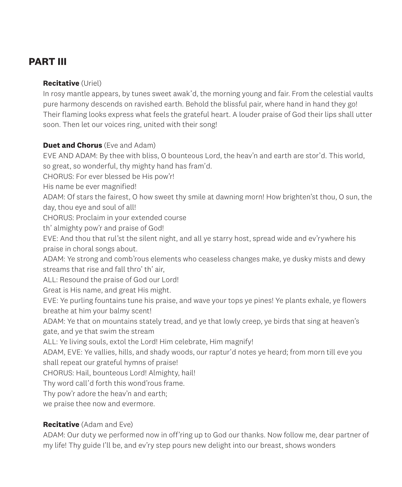## **PART III**

#### **Recitative** (Uriel)

In rosy mantle appears, by tunes sweet awak'd, the morning young and fair. From the celestial vaults pure harmony descends on ravished earth. Behold the blissful pair, where hand in hand they go! Their flaming looks express what feels the grateful heart. A louder praise of God their lips shall utter soon. Then let our voices ring, united with their song!

#### **Duet and Chorus** (Eve and Adam)

EVE AND ADAM: By thee with bliss, O bounteous Lord, the heav'n and earth are stor'd. This world, so great, so wonderful, thy mighty hand has fram'd.

CHORUS: For ever blessed be His pow'r!

His name be ever magnified!

ADAM: Of stars the fairest, O how sweet thy smile at dawning morn! How brighten'st thou, O sun, the day, thou eye and soul of all!

CHORUS: Proclaim in your extended course

th' almighty pow'r and praise of God!

EVE: And thou that rul'st the silent night, and all ye starry host, spread wide and ev'rywhere his praise in choral songs about.

ADAM: Ye strong and comb'rous elements who ceaseless changes make, ye dusky mists and dewy streams that rise and fall thro' th' air,

ALL: Resound the praise of God our Lord!

Great is His name, and great His might.

EVE: Ye purling fountains tune his praise, and wave your tops ye pines! Ye plants exhale, ye flowers breathe at him your balmy scent!

ADAM: Ye that on mountains stately tread, and ye that lowly creep, ye birds that sing at heaven's gate, and ye that swim the stream

ALL: Ye living souls, extol the Lord! Him celebrate, Him magnify!

ADAM, EVE: Ye vallies, hills, and shady woods, our raptur'd notes ye heard; from morn till eve you shall repeat our grateful hymns of praise!

CHORUS: Hail, bounteous Lord! Almighty, hail!

Thy word call'd forth this wond'rous frame.

Thy pow'r adore the heav'n and earth;

we praise thee now and evermore.

#### **Recitative** (Adam and Eve)

ADAM: Our duty we performed now in off'ring up to God our thanks. Now follow me, dear partner of my life! Thy guide I'll be, and ev'ry step pours new delight into our breast, shows wonders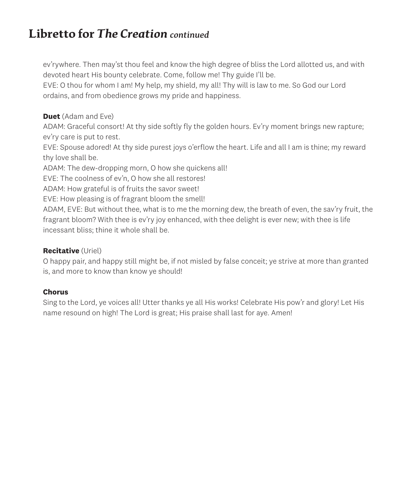# **Libretto for** *The Creation continued*

ev'rywhere. Then may'st thou feel and know the high degree of bliss the Lord allotted us, and with devoted heart His bounty celebrate. Come, follow me! Thy guide I'll be.

EVE: O thou for whom I am! My help, my shield, my all! Thy will is law to me. So God our Lord ordains, and from obedience grows my pride and happiness.

#### **Duet** (Adam and Eve)

ADAM: Graceful consort! At thy side softly fly the golden hours. Ev'ry moment brings new rapture; ev'ry care is put to rest.

EVE: Spouse adored! At thy side purest joys o'erflow the heart. Life and all I am is thine; my reward thy love shall be.

ADAM: The dew-dropping morn, O how she quickens all!

EVE: The coolness of ev'n, O how she all restores!

ADAM: How grateful is of fruits the savor sweet!

EVE: How pleasing is of fragrant bloom the smell!

ADAM, EVE: But without thee, what is to me the morning dew, the breath of even, the sav'ry fruit, the fragrant bloom? With thee is ev'ry joy enhanced, with thee delight is ever new; with thee is life incessant bliss; thine it whole shall be.

#### **Recitative** (Uriel)

O happy pair, and happy still might be, if not misled by false conceit; ye strive at more than granted is, and more to know than know ye should!

#### **Chorus**

Sing to the Lord, ye voices all! Utter thanks ye all His works! Celebrate His pow'r and glory! Let His name resound on high! The Lord is great; His praise shall last for aye. Amen!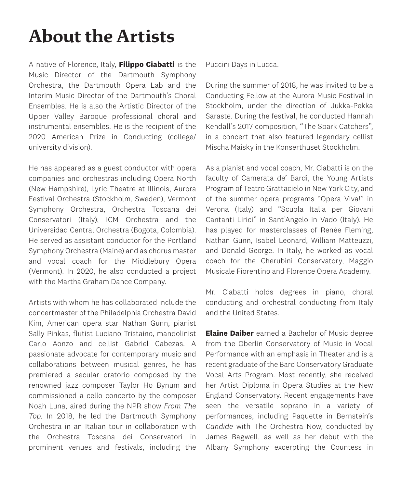# **About the Artists**

A native of Florence, Italy, **Filippo Ciabatti** is the Music Director of the Dartmouth Symphony Orchestra, the Dartmouth Opera Lab and the Interim Music Director of the Dartmouth's Choral Ensembles. He is also the Artistic Director of the Upper Valley Baroque professional choral and instrumental ensembles. He is the recipient of the 2020 American Prize in Conducting (college/ university division).

He has appeared as a guest conductor with opera companies and orchestras including Opera North (New Hampshire), Lyric Theatre at Illinois, Aurora Festival Orchestra (Stockholm, Sweden), Vermont Symphony Orchestra, Orchestra Toscana dei Conservatori (Italy), ICM Orchestra and the Universidad Central Orchestra (Bogota, Colombia). He served as assistant conductor for the Portland Symphony Orchestra (Maine) and as chorus master and vocal coach for the Middlebury Opera (Vermont). In 2020, he also conducted a project with the Martha Graham Dance Company.

Artists with whom he has collaborated include the concertmaster of the Philadelphia Orchestra David Kim, American opera star Nathan Gunn, pianist Sally Pinkas, flutist Luciano Tristaino, mandolinist Carlo Aonzo and cellist Gabriel Cabezas. A passionate advocate for contemporary music and collaborations between musical genres, he has premiered a secular oratorio composed by the renowned jazz composer Taylor Ho Bynum and commissioned a cello concerto by the composer Noah Luna, aired during the NPR show *From The Top*. In 2018, he led the Dartmouth Symphony Orchestra in an Italian tour in collaboration with the Orchestra Toscana dei Conservatori in prominent venues and festivals, including the Puccini Days in Lucca.

During the summer of 2018, he was invited to be a Conducting Fellow at the Aurora Music Festival in Stockholm, under the direction of Jukka-Pekka Saraste. During the festival, he conducted Hannah Kendall's 2017 composition, "The Spark Catchers", in a concert that also featured legendary cellist Mischa Maisky in the Konserthuset Stockholm.

As a pianist and vocal coach, Mr. Ciabatti is on the faculty of Camerata de' Bardi, the Young Artists Program of Teatro Grattacielo in New York City, and of the summer opera programs "Opera Viva!" in Verona (Italy) and "Scuola Italia per Giovani Cantanti Lirici" in Sant'Angelo in Vado (Italy). He has played for masterclasses of Renée Fleming, Nathan Gunn, Isabel Leonard, William Matteuzzi, and Donald George. In Italy, he worked as vocal coach for the Cherubini Conservatory, Maggio Musicale Fiorentino and Florence Opera Academy.

Mr. Ciabatti holds degrees in piano, choral conducting and orchestral conducting from Italy and the United States.

**Elaine Daiber** earned a Bachelor of Music degree from the Oberlin Conservatory of Music in Vocal Performance with an emphasis in Theater and is a recent graduate of the Bard Conservatory Graduate Vocal Arts Program. Most recently, she received her Artist Diploma in Opera Studies at the New England Conservatory. Recent engagements have seen the versatile soprano in a variety of performances, including Paquette in Bernstein's *Candide* with The Orchestra Now, conducted by James Bagwell, as well as her debut with the Albany Symphony excerpting the Countess in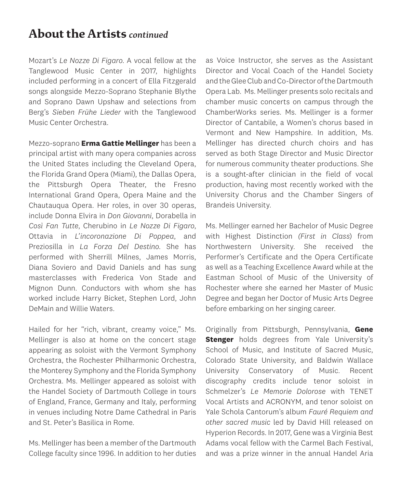# **About the Artists** *continued*

Mozart's *Le Nozze Di Figaro*. A vocal fellow at the Tanglewood Music Center in 2017, highlights included performing in a concert of Ella Fitzgerald songs alongside Mezzo-Soprano Stephanie Blythe and Soprano Dawn Upshaw and selections from Berg's *Sieben Frühe Lieder* with the Tanglewood Music Center Orchestra.

Mezzo-soprano **Erma Gattie Mellinger** has been a principal artist with many opera companies across the United States including the Cleveland Opera, the Florida Grand Opera (Miami), the Dallas Opera, the Pittsburgh Opera Theater, the Fresno International Grand Opera, Opera Maine and the Chautauqua Opera. Her roles, in over 30 operas, include Donna Elvira in *Don Giovanni*, Dorabella in *Così Fan Tutte*, Cherubino in *Le Nozze Di Figaro*, Ottavia in *L'incoronazione Di Poppea*, and Preziosilla in *La Forza Del Destino*. She has performed with Sherrill Milnes, James Morris, Diana Soviero and David Daniels and has sung masterclasses with Frederica Von Stade and Mignon Dunn. Conductors with whom she has worked include Harry Bicket, Stephen Lord, John DeMain and Willie Waters.

Hailed for her "rich, vibrant, creamy voice," Ms. Mellinger is also at home on the concert stage appearing as soloist with the Vermont Symphony Orchestra, the Rochester Philharmonic Orchestra, the Monterey Symphony and the Florida Symphony Orchestra. Ms. Mellinger appeared as soloist with the Handel Society of Dartmouth College in tours of England, France, Germany and Italy, performing in venues including Notre Dame Cathedral in Paris and St. Peter's Basilica in Rome.

Ms. Mellinger has been a member of the Dartmouth College faculty since 1996. In addition to her duties as Voice Instructor, she serves as the Assistant Director and Vocal Coach of the Handel Society and the Glee Club and Co-Director of the Dartmouth Opera Lab. Ms. Mellinger presents solo recitals and chamber music concerts on campus through the ChamberWorks series. Ms. Mellinger is a former Director of Cantabile, a Women's chorus based in Vermont and New Hampshire. In addition, Ms. Mellinger has directed church choirs and has served as both Stage Director and Music Director for numerous community theater productions. She is a sought-after clinician in the field of vocal production, having most recently worked with the University Chorus and the Chamber Singers of Brandeis University.

Ms. Mellinger earned her Bachelor of Music Degree with Highest Distinction *(First in Class*) from Northwestern University. She received the Performer's Certificate and the Opera Certificate as well as a Teaching Excellence Award while at the Eastman School of Music of the University of Rochester where she earned her Master of Music Degree and began her Doctor of Music Arts Degree before embarking on her singing career.

Originally from Pittsburgh, Pennsylvania, **Gene Stenger** holds degrees from Yale University's School of Music, and Institute of Sacred Music, Colorado State University, and Baldwin Wallace University Conservatory of Music. Recent discography credits include tenor soloist in Schmelzer's *Le Memorie Dolorose* with TENET Vocal Artists and ACRONYM, and tenor soloist on Yale Schola Cantorum's album *Fauré Requiem and other sacred music* led by David Hill released on Hyperion Records. In 2017, Gene was a Virginia Best Adams vocal fellow with the Carmel Bach Festival, and was a prize winner in the annual Handel Aria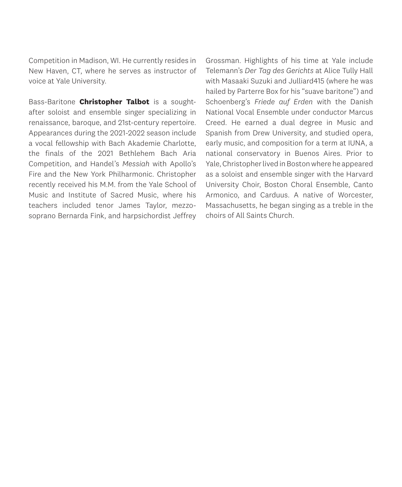Competition in Madison, WI. He currently resides in New Haven, CT, where he serves as instructor of voice at Yale University.

Bass-Baritone **Christopher Talbot** is a soughtafter soloist and ensemble singer specializing in renaissance, baroque, and 21st-century repertoire. Appearances during the 2021-2022 season include a vocal fellowship with Bach Akademie Charlotte, the finals of the 2021 Bethlehem Bach Aria Competition, and Handel's *Messiah* with Apollo's Fire and the New York Philharmonic. Christopher recently received his M.M. from the Yale School of Music and Institute of Sacred Music, where his teachers included tenor James Taylor, mezzosoprano Bernarda Fink, and harpsichordist Jeffrey Grossman. Highlights of his time at Yale include Telemann's *Der Tag des Gerichts* at Alice Tully Hall with Masaaki Suzuki and Julliard415 (where he was hailed by Parterre Box for his "suave baritone") and Schoenberg's *Friede auf Erden* with the Danish National Vocal Ensemble under conductor Marcus Creed. He earned a dual degree in Music and Spanish from Drew University, and studied opera, early music, and composition for a term at IUNA, a national conservatory in Buenos Aires. Prior to Yale, Christopher lived in Boston where he appeared as a soloist and ensemble singer with the Harvard University Choir, Boston Choral Ensemble, Canto Armonico, and Carduus. A native of Worcester, Massachusetts, he began singing as a treble in the choirs of All Saints Church.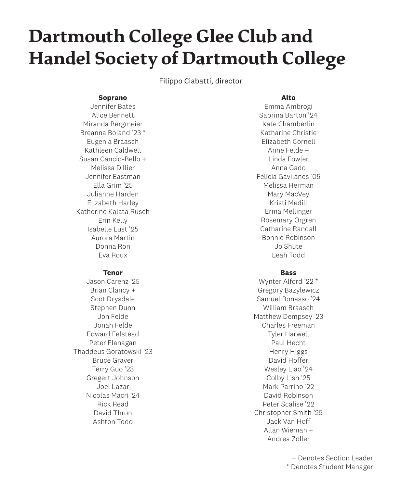# **Dartmouth College Glee Club and Handel Society of Dartmouth College**

Filippo Ciabatti, director

#### **Soprano**

Jennifer Bates Alice Bennett Miranda Bergmeier Breanna Boland '23 \* Eugenia Braasch Kathleen Caldwell Susan Cancio-Bello + Melissa Dillier Jennifer Eastman Ella Grim '25 Julianne Harden Elizabeth Harley Katherine Kalata Rusch Erin Kelly Isabelle Lust '25 Aurora Martin Donna Ron Eva Roux

#### **Tenor**

Jason Carenz '25 Brian Clancy + Scot Drysdale Stephen Dunn Jon Felde Jonah Felde Edward Felstead Peter Flanagan Thaddeus Goratowski '23 Bruce Graver Terry Guo '23 Gregert Johnson Joel Lazar Nicolas Macri '24 Rick Read David Thron Ashton Todd

#### **Alto**

Emma Ambrogi Sabrina Barton '24 Kate Chamberlin Katharine Christie Elizabeth Cornell Anne Felde + Linda Fowler Anna Gado Felicia Gavilanes '05 Melissa Herman Mary MacVey Kristi Medill Erma Mellinger Rosemary Orgren Catharine Randall Bonnie Robinson Jo Shute Leah Todd

#### **Bass**

Wynter Alford '22 \* Gregory Bazylewicz Samuel Bonasso '24 William Braasch Matthew Dempsey '23 Charles Freeman Tyler Harwell Paul Hecht Henry Higgs David Hoffer Wesley Liao '24 Colby Lish '25 Mark Parrino '99 David Robinson Peter Scalise '22 Christopher Smith '25 Jack Van Hoff Allan Wieman + Andrea Zoller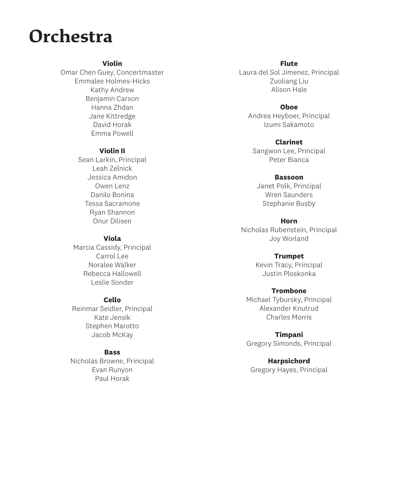# **Orchestra**

#### **Violin**

Omar Chen Guey, Concertmaster Emmalee Holmes-Hicks Kathy Andrew Benjamin Carson Hanna Zhdan Jane Kittredge David Horak Emma Powell

#### **Violin II**

Sean Larkin, Principal Leah Zelnick Jessica Amidon Owen Lenz Danilo Bonina Tessa Sacramone Ryan Shannon Onur Dilisen

#### **Viola**

Marcia Cassidy, Principal Carrol Lee Noralee Walker Rebecca Hallowell Leslie Sonder

#### **Cello**

Reinmar Seidler, Principal Kate Jensik Stephen Marotto Jacob McKay

#### **Bass**

Nicholas Browne, Principal Evan Runyon Paul Horak

**Flute** Laura del Sol Jimenez, Principal Zuoliang Liu Alison Hale

**Oboe** Andrea Heyboer, Principal Izumi Sakamoto

**Clarinet** Sangwon Lee, Principal

Peter Bianca

#### **Bassoon**

Janet Polk, Principal Wren Saunders Stephanie Busby

#### **Horn**

Nicholas Rubenstein, Principal Joy Worland

#### **Trumpet**

Kevin Tracy, Principal Justin Ploskonka

#### **Trombone**

Michael Tybursky, Principal Alexander Knutrud Charles Morris

**Timpani** Gregory Simonds, Principal

**Harpsichord** Gregory Hayes, Principal